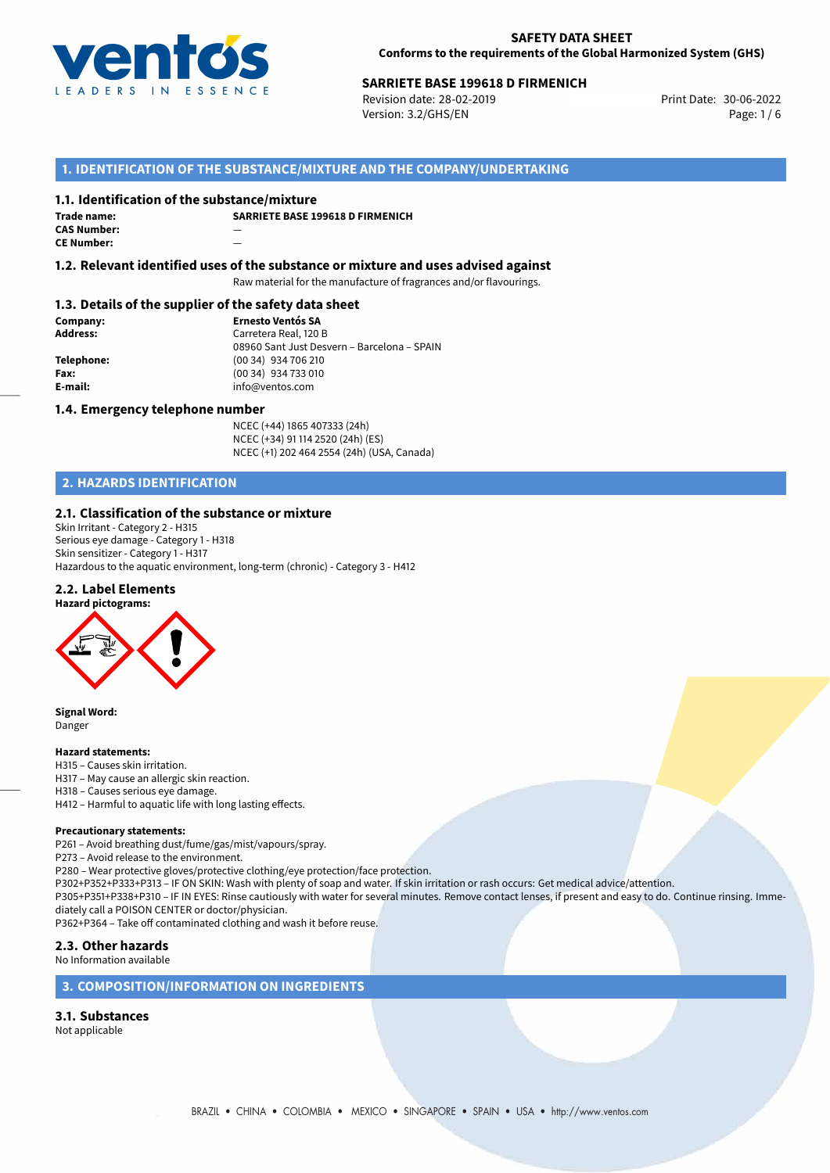

# **SARRIETE BASE 199618 D FIRMENICH<br>
Revision date: 28-02-2019** Print Date: 30-06-2022

Revision date: 28-02-2019 Version: 3.2/GHS/EN Page: 1 / 6

# **1. IDENTIFICATION OF THE SUBSTANCE/MIXTURE AND THE COMPANY/UNDERTAKING**

#### **1.1. Identification of the substance/mixture**

**Trade name: CAS Number:** — **CE Number:** —

**SARRIETE BASE 199618 D FIRMENICH**

**1.2. Relevant identified uses of the substance or mixture and uses advised against**

Raw material for the manufacture of fragrances and/or flavourings.

#### **1.3. Details of the supplier of the safety data sheet**

**Company: Ernesto Ventós SA Address:** Carretera Real, 120 B 08960 Sant Just Desvern – Barcelona – SPAIN **Telephone:** (00 34) 934 706 210 **Fax:** (00 34) 934 733 010<br> **E-mail:** example the info@ventos.com **E-mail:** info@ventos.com

#### **1.4. Emergency telephone number**

NCEC (+44) 1865 407333 (24h) NCEC (+34) 91 114 2520 (24h) (ES) NCEC (+1) 202 464 2554 (24h) (USA, Canada)

# **2. HAZARDS IDENTIFICATION**

### **2.1. Classification of the substance or mixture**

Skin Irritant - Category 2 - H315 Serious eye damage - Category 1 - H318 Skin sensitizer - Category 1 - H317 Hazardous to the aquatic environment, long-term (chronic) - Category 3 - H412

# **2.2. Label Elements**



**Signal Word:** Danger

#### **Hazard statements:**

- H315 Causes skin irritation.
- H317 May cause an allergic skin reaction.
- H318 Causes serious eye damage.
- H412 Harmful to aquatic life with long lasting effects.

#### **Precautionary statements:**

P261 – Avoid breathing dust/fume/gas/mist/vapours/spray.

- P273 Avoid release to the environment.
- P280 Wear protective gloves/protective clothing/eye protection/face protection.

P302+P352+P333+P313 – IF ON SKIN: Wash with plenty of soap and water. If skin irritation or rash occurs: Get medical advice/attention.

P305+P351+P338+P310 – IF IN EYES: Rinse cautiously with water for several minutes. Remove contact lenses, if present and easy to do. Continue rinsing. Immediately call a POISON CENTER or doctor/physician.

P362+P364 – Take off contaminated clothing and wash it before reuse.

#### **2.3. Other hazards**

No Information available

#### **3. COMPOSITION/INFORMATION ON INGREDIENTS**

#### **3.1. Substances**

Not applicable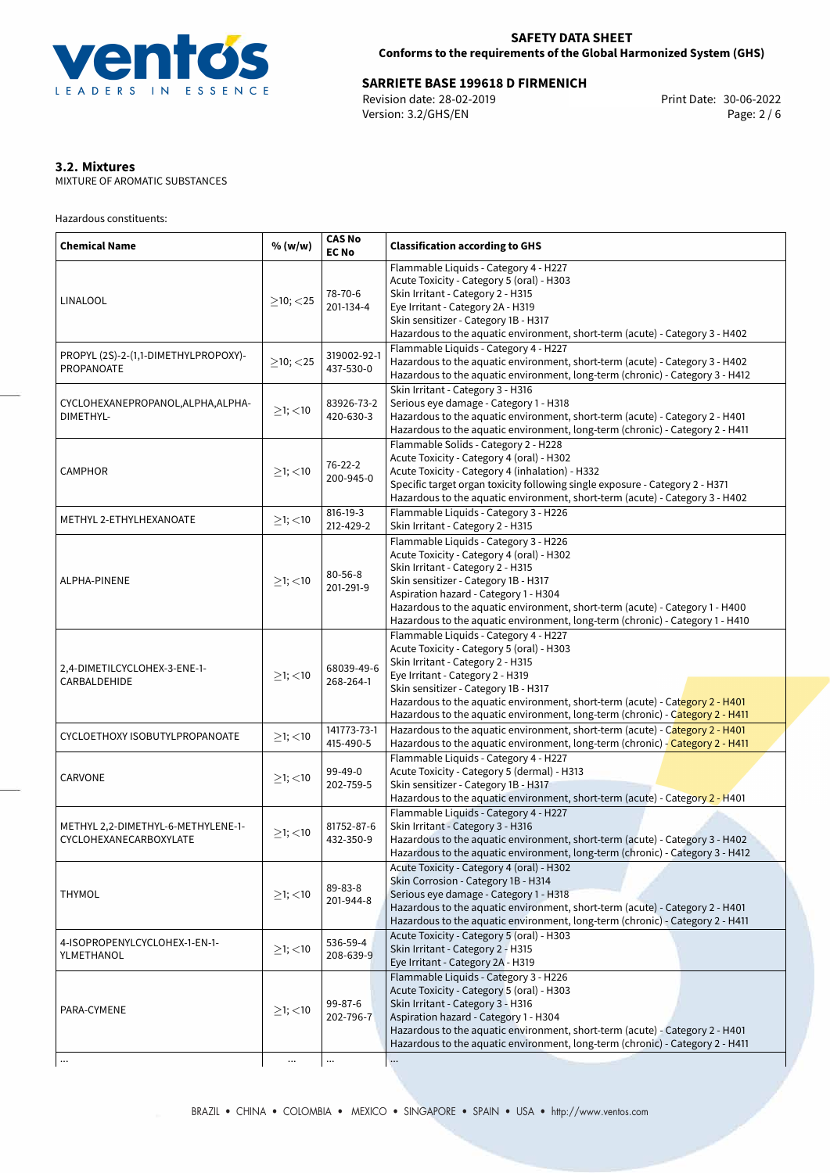

**SARRIETE BASE 199618 D FIRMENICH**<br>
Revision date: 28-02-2019<br>
Version: 3.2/GHS/EN
Print Date: 30-06-2022<br>
Print Date: 30-06-2022 Revision date: 28-02-2019 Version: 3.2/GHS/EN

# **3.2. Mixtures**

MIXTURE OF AROMATIC SUBSTANCES

Hazardous constituents:

| <b>Chemical Name</b>                                         | % (w/w)        | <b>CAS No</b><br><b>EC No</b> | <b>Classification according to GHS</b>                                                                                                                                                                                                                                                                                                                                    |  |
|--------------------------------------------------------------|----------------|-------------------------------|---------------------------------------------------------------------------------------------------------------------------------------------------------------------------------------------------------------------------------------------------------------------------------------------------------------------------------------------------------------------------|--|
| LINALOOL                                                     | $\geq$ 10; <25 | 78-70-6<br>201-134-4          | Flammable Liquids - Category 4 - H227<br>Acute Toxicity - Category 5 (oral) - H303<br>Skin Irritant - Category 2 - H315<br>Eye Irritant - Category 2A - H319<br>Skin sensitizer - Category 1B - H317<br>Hazardous to the aquatic environment, short-term (acute) - Category 3 - H402                                                                                      |  |
| PROPYL (2S)-2-(1,1-DIMETHYLPROPOXY)-<br>PROPANOATE           | $\geq$ 10; <25 | 319002-92-1<br>437-530-0      | Flammable Liquids - Category 4 - H227<br>Hazardous to the aquatic environment, short-term (acute) - Category 3 - H402<br>Hazardous to the aquatic environment, long-term (chronic) - Category 3 - H412                                                                                                                                                                    |  |
| CYCLOHEXANEPROPANOL, ALPHA, ALPHA-<br>DIMETHYL-              | $\geq$ 1; <10  | 83926-73-2<br>420-630-3       | Skin Irritant - Category 3 - H316<br>Serious eye damage - Category 1 - H318<br>Hazardous to the aquatic environment, short-term (acute) - Category 2 - H401<br>Hazardous to the aquatic environment, long-term (chronic) - Category 2 - H411                                                                                                                              |  |
| <b>CAMPHOR</b>                                               | $\geq$ 1; <10  | $76 - 22 - 2$<br>200-945-0    | Flammable Solids - Category 2 - H228<br>Acute Toxicity - Category 4 (oral) - H302<br>Acute Toxicity - Category 4 (inhalation) - H332<br>Specific target organ toxicity following single exposure - Category 2 - H371<br>Hazardous to the aquatic environment, short-term (acute) - Category 3 - H402                                                                      |  |
| METHYL 2-ETHYLHEXANOATE                                      | $\geq$ 1; <10  | 816-19-3<br>212-429-2         | Flammable Liquids - Category 3 - H226<br>Skin Irritant - Category 2 - H315                                                                                                                                                                                                                                                                                                |  |
| ALPHA-PINENE                                                 | $\geq$ 1; <10  | $80 - 56 - 8$<br>201-291-9    | Flammable Liquids - Category 3 - H226<br>Acute Toxicity - Category 4 (oral) - H302<br>Skin Irritant - Category 2 - H315<br>Skin sensitizer - Category 1B - H317<br>Aspiration hazard - Category 1 - H304<br>Hazardous to the aquatic environment, short-term (acute) - Category 1 - H400<br>Hazardous to the aquatic environment, long-term (chronic) - Category 1 - H410 |  |
| 2,4-DIMETILCYCLOHEX-3-ENE-1-<br>CARBALDEHIDE                 | $>1$ ; $<$ 10  | 68039-49-6<br>268-264-1       | Flammable Liquids - Category 4 - H227<br>Acute Toxicity - Category 5 (oral) - H303<br>Skin Irritant - Category 2 - H315<br>Eye Irritant - Category 2 - H319<br>Skin sensitizer - Category 1B - H317<br>Hazardous to the aquatic environment, short-term (acute) - Category 2 - H401<br>Hazardous to the aquatic environment, long-term (chronic) - Category 2 - H411      |  |
| CYCLOETHOXY ISOBUTYLPROPANOATE                               | $≥1;$ < 10     | 141773-73-1<br>415-490-5      | Hazardous to the aquatic environment, short-term (acute) - Category 2 - H401<br>Hazardous to the aquatic environment, long-term (chronic) - Category 2 - H411                                                                                                                                                                                                             |  |
| CARVONE                                                      | $\geq$ 1; <10  | 99-49-0<br>202-759-5          | Flammable Liquids - Category 4 - H227<br>Acute Toxicity - Category 5 (dermal) - H313<br>Skin sensitizer - Category 1B - H317<br>Hazardous to the aquatic environment, short-term (acute) - Category 2 - H401                                                                                                                                                              |  |
| METHYL 2,2-DIMETHYL-6-METHYLENE-1-<br>CYCLOHEXANECARBOXYLATE | $≥1;$ < 10     | 81752-87-6<br>432-350-9       | Flammable Liquids - Category 4 - H227<br>Skin Irritant - Category 3 - H316<br>Hazardous to the aquatic environment, short-term (acute) - Category 3 - H402<br>Hazardous to the aquatic environment, long-term (chronic) - Category 3 - H412                                                                                                                               |  |
| <b>THYMOL</b>                                                | $\geq$ 1; <10  | 89-83-8<br>201-944-8          | Acute Toxicity - Category 4 (oral) - H302<br>Skin Corrosion - Category 1B - H314<br>Serious eye damage - Category 1 - H318<br>Hazardous to the aquatic environment, short-term (acute) - Category 2 - H401<br>Hazardous to the aquatic environment, long-term (chronic) - Category 2 - H411                                                                               |  |
| 4-ISOPROPENYLCYCLOHEX-1-EN-1-<br>YLMETHANOL                  | $\geq$ 1; <10  | 536-59-4<br>208-639-9         | Acute Toxicity - Category 5 (oral) - H303<br>Skin Irritant - Category 2 - H315<br>Eye Irritant - Category 2A - H319                                                                                                                                                                                                                                                       |  |
| PARA-CYMENE                                                  | $\geq$ 1; <10  | 99-87-6<br>202-796-7          | Flammable Liquids - Category 3 - H226<br>Acute Toxicity - Category 5 (oral) - H303<br>Skin Irritant - Category 3 - H316<br>Aspiration hazard - Category 1 - H304<br>Hazardous to the aquatic environment, short-term (acute) - Category 2 - H401<br>Hazardous to the aquatic environment, long-term (chronic) - Category 2 - H411                                         |  |
|                                                              |                |                               |                                                                                                                                                                                                                                                                                                                                                                           |  |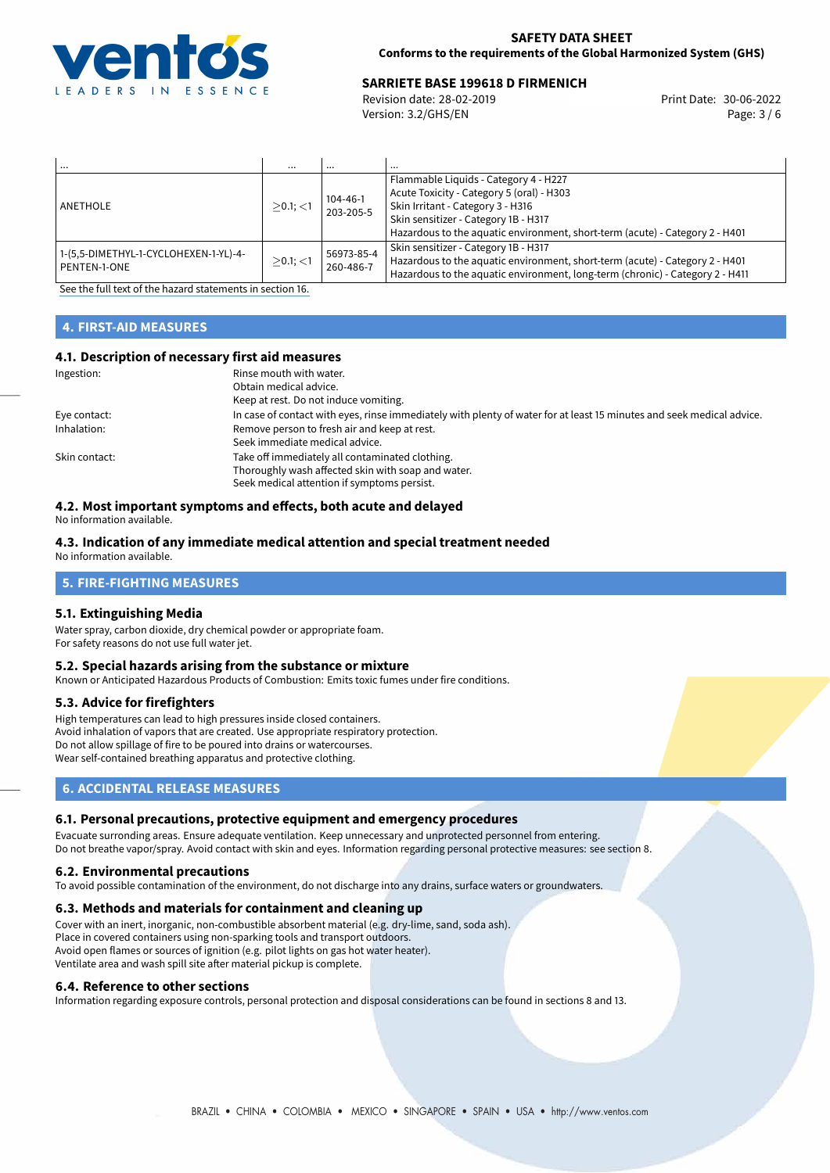

# **SARRIETE BASE 199618 D FIRMENICH<br>
Revision date: 28-02-2019** Print Date: 30-06-2022

Revision date: 28-02-2019 Version: 3.2/GHS/EN Page: 3 / 6

| $\cdots$                                              | $\cdots$    | $\cdots$                | $\cdots$                                                                                                                                                                                                                                        |
|-------------------------------------------------------|-------------|-------------------------|-------------------------------------------------------------------------------------------------------------------------------------------------------------------------------------------------------------------------------------------------|
| ANETHOLE                                              | $>0.1$ ; <1 | 104-46-1<br>203-205-5   | Flammable Liquids - Category 4 - H227<br>Acute Toxicity - Category 5 (oral) - H303<br>Skin Irritant - Category 3 - H316<br>Skin sensitizer - Category 1B - H317<br>Hazardous to the aquatic environment, short-term (acute) - Category 2 - H401 |
| 1-(5,5-DIMETHYL-1-CYCLOHEXEN-1-YL)-4-<br>PENTEN-1-ONE | $>0.1$ ; <1 | 56973-85-4<br>260-486-7 | Skin sensitizer - Category 1B - H317<br>Hazardous to the aquatic environment, short-term (acute) - Category 2 - H401<br>Hazardous to the aquatic environment, long-term (chronic) - Category 2 - H411                                           |

[See the full text of the hazard statements in section 16.](#page-5-0)

# **4. FIRST-AID MEASURES**

#### **4.1. Description of necessary first aid measures**

| Ingestion:    | Rinse mouth with water.<br>Obtain medical advice.<br>Keep at rest. Do not induce vomiting.                                                           |
|---------------|------------------------------------------------------------------------------------------------------------------------------------------------------|
| Eye contact:  | In case of contact with eyes, rinse immediately with plenty of water for at least 15 minutes and seek medical advice.                                |
| Inhalation:   | Remove person to fresh air and keep at rest.<br>Seek immediate medical advice.                                                                       |
| Skin contact: | Take off immediately all contaminated clothing.<br>Thoroughly wash affected skin with soap and water.<br>Seek medical attention if symptoms persist. |

#### **4.2. Most important symptoms and effects, both acute and delayed**

No information available.

#### **4.3. Indication of any immediate medical attention and special treatment needed** No information available.

**5. FIRE-FIGHTING MEASURES**

# **5.1. Extinguishing Media**

Water spray, carbon dioxide, dry chemical powder or appropriate foam. For safety reasons do not use full water jet.

#### **5.2. Special hazards arising from the substance or mixture**

Known or Anticipated Hazardous Products of Combustion: Emits toxic fumes under fire conditions.

#### **5.3. Advice for firefighters**

High temperatures can lead to high pressures inside closed containers. Avoid inhalation of vapors that are created. Use appropriate respiratory protection. Do not allow spillage of fire to be poured into drains or watercourses. Wear self-contained breathing apparatus and protective clothing.

# **6. ACCIDENTAL RELEASE MEASURES**

#### **6.1. Personal precautions, protective equipment and emergency procedures**

Evacuate surronding areas. Ensure adequate ventilation. Keep unnecessary and unprotected personnel from entering. Do not breathe vapor/spray. Avoid contact with skin and eyes. Information regarding personal protective measures: see section 8.

#### **6.2. Environmental precautions**

To avoid possible contamination of the environment, do not discharge into any drains, surface waters or groundwaters.

#### **6.3. Methods and materials for containment and cleaning up**

Cover with an inert, inorganic, non-combustible absorbent material (e.g. dry-lime, sand, soda ash). Place in covered containers using non-sparking tools and transport outdoors. Avoid open flames or sources of ignition (e.g. pilot lights on gas hot water heater). Ventilate area and wash spill site after material pickup is complete.

#### **6.4. Reference to other sections**

Information regarding exposure controls, personal protection and disposal considerations can be found in sections 8 and 13.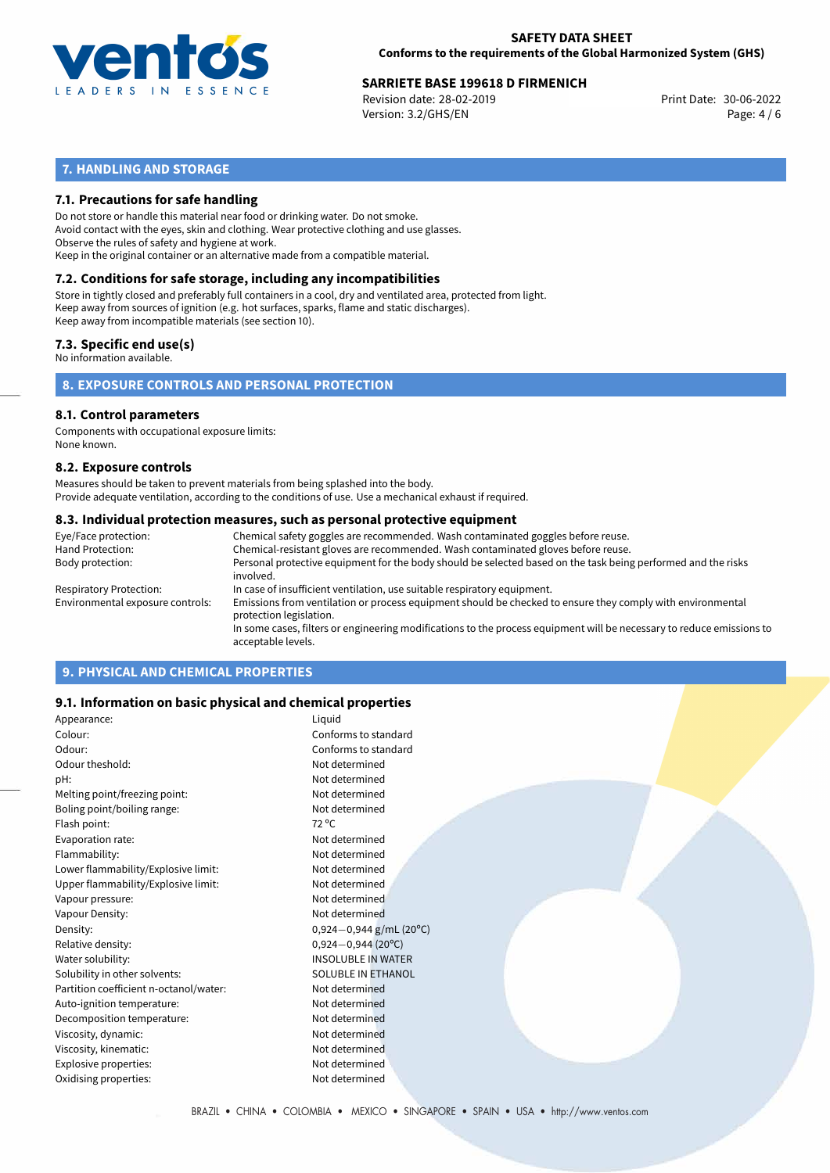

# **SARRIETE BASE 199618 D FIRMENICH**<br>
Revision date: 28-02-2019<br>
Print Date: 30-06-2022

Revision date: 28-02-2019 Version: 3.2/GHS/EN Page: 4 / 6

# **7. HANDLING AND STORAGE**

### **7.1. Precautions for safe handling**

Do not store or handle this material near food or drinking water. Do not smoke. Avoid contact with the eyes, skin and clothing. Wear protective clothing and use glasses. Observe the rules of safety and hygiene at work. Keep in the original container or an alternative made from a compatible material.

# **7.2. Conditions for safe storage, including any incompatibilities**

Store in tightly closed and preferably full containers in a cool, dry and ventilated area, protected from light. Keep away from sources of ignition (e.g. hot surfaces, sparks, flame and static discharges). Keep away from incompatible materials (see section 10).

### **7.3. Specific end use(s)**

No information available.

**8. EXPOSURE CONTROLS AND PERSONAL PROTECTION**

#### **8.1. Control parameters**

Components with occupational exposure limits: None known.

#### **8.2. Exposure controls**

Measures should be taken to prevent materials from being splashed into the body. Provide adequate ventilation, according to the conditions of use. Use a mechanical exhaust if required.

#### **8.3. Individual protection measures, such as personal protective equipment**

| Eye/Face protection:             | Chemical safety goggles are recommended. Wash contaminated goggles before reuse.                                                            |
|----------------------------------|---------------------------------------------------------------------------------------------------------------------------------------------|
| Hand Protection:                 | Chemical-resistant gloves are recommended. Wash contaminated gloves before reuse.                                                           |
| Body protection:                 | Personal protective equipment for the body should be selected based on the task being performed and the risks<br>involved.                  |
| Respiratory Protection:          | In case of insufficient ventilation, use suitable respiratory equipment.                                                                    |
| Environmental exposure controls: | Emissions from ventilation or process equipment should be checked to ensure they comply with environmental<br>protection legislation.       |
|                                  | In some cases, filters or engineering modifications to the process equipment will be necessary to reduce emissions to<br>acceptable levels. |
|                                  |                                                                                                                                             |

# **9. PHYSICAL AND CHEMICAL PROPERTIES**

#### **9.1. Information on basic physical and chemical properties**

| Appearance:                            | Liquid                    |
|----------------------------------------|---------------------------|
| Colour:                                | Conforms to standard      |
| Odour:                                 | Conforms to standard      |
| Odour theshold:                        | Not determined            |
| pH:                                    | Not determined            |
| Melting point/freezing point:          | Not determined            |
| Boling point/boiling range:            | Not determined            |
| Flash point:                           | $72^{\circ}$ C            |
| Evaporation rate:                      | Not determined            |
| Flammability:                          | Not determined            |
| Lower flammability/Explosive limit:    | Not determined            |
| Upper flammability/Explosive limit:    | Not determined            |
| Vapour pressure:                       | Not determined            |
| Vapour Density:                        | Not determined            |
| Density:                               | $0,924-0,944$ g/mL (20°C) |
| Relative density:                      | $0,924 - 0,944$ (20°C)    |
| Water solubility:                      | <b>INSOLUBLE IN WATER</b> |
| Solubility in other solvents:          | SOLUBLE IN ETHANOL        |
| Partition coefficient n-octanol/water: | Not determined            |
| Auto-ignition temperature:             | Not determined            |
| Decomposition temperature:             | Not determined            |
| Viscosity, dynamic:                    | Not determined            |
| Viscosity, kinematic:                  | Not determined            |
| Explosive properties:                  | Not determined            |
| Oxidising properties:                  | Not determined            |
|                                        |                           |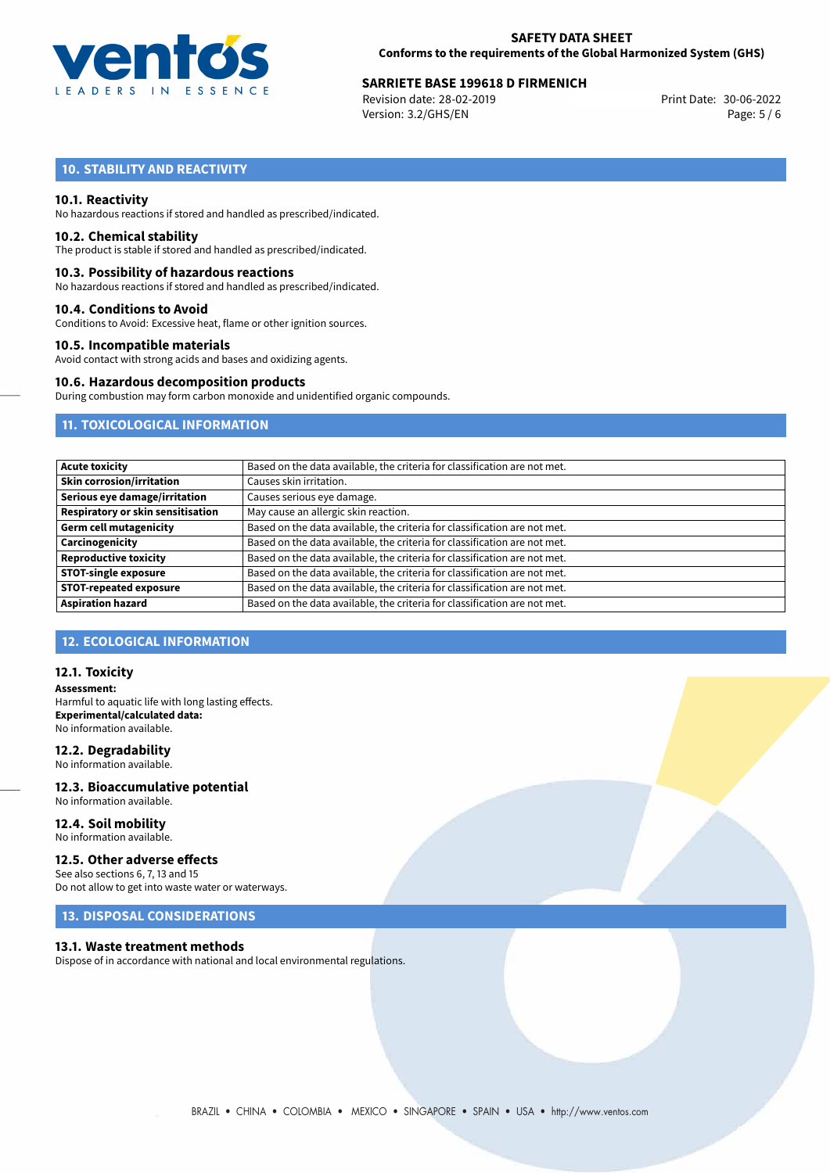

# **SARRIETE BASE 199618 D FIRMENICH**<br>
Revision date: 28-02-2019<br>
Print Date: 30-06-2022

Revision date: 28-02-2019 Version: 3.2/GHS/EN Page: 5 / 6

# **10. STABILITY AND REACTIVITY**

#### **10.1. Reactivity**

No hazardous reactions if stored and handled as prescribed/indicated.

#### **10.2. Chemical stability**

The product is stable if stored and handled as prescribed/indicated.

#### **10.3. Possibility of hazardous reactions**

No hazardous reactions if stored and handled as prescribed/indicated.

#### **10.4. Conditions to Avoid**

Conditions to Avoid: Excessive heat, flame or other ignition sources.

#### **10.5. Incompatible materials**

Avoid contact with strong acids and bases and oxidizing agents.

#### **10.6. Hazardous decomposition products**

During combustion may form carbon monoxide and unidentified organic compounds.

# **11. TOXICOLOGICAL INFORMATION**

| Based on the data available, the criteria for classification are not met. |
|---------------------------------------------------------------------------|
| Causes skin irritation.                                                   |
| Causes serious eye damage.                                                |
| May cause an allergic skin reaction.                                      |
| Based on the data available, the criteria for classification are not met. |
| Based on the data available, the criteria for classification are not met. |
| Based on the data available, the criteria for classification are not met. |
| Based on the data available, the criteria for classification are not met. |
| Based on the data available, the criteria for classification are not met. |
| Based on the data available, the criteria for classification are not met. |
|                                                                           |

# **12. ECOLOGICAL INFORMATION**

#### **12.1. Toxicity**

**Assessment:** Harmful to aquatic life with long lasting effects. **Experimental/calculated data:** No information available.

#### **12.2. Degradability**

No information available.

#### **12.3. Bioaccumulative potential** No information available.

**12.4. Soil mobility** No information available.

# **12.5. Other adverse effects**

See also sections 6, 7, 13 and 15 Do not allow to get into waste water or waterways.

# **13. DISPOSAL CONSIDERATIONS**

#### **13.1. Waste treatment methods**

Dispose of in accordance with national and local environmental regulations.